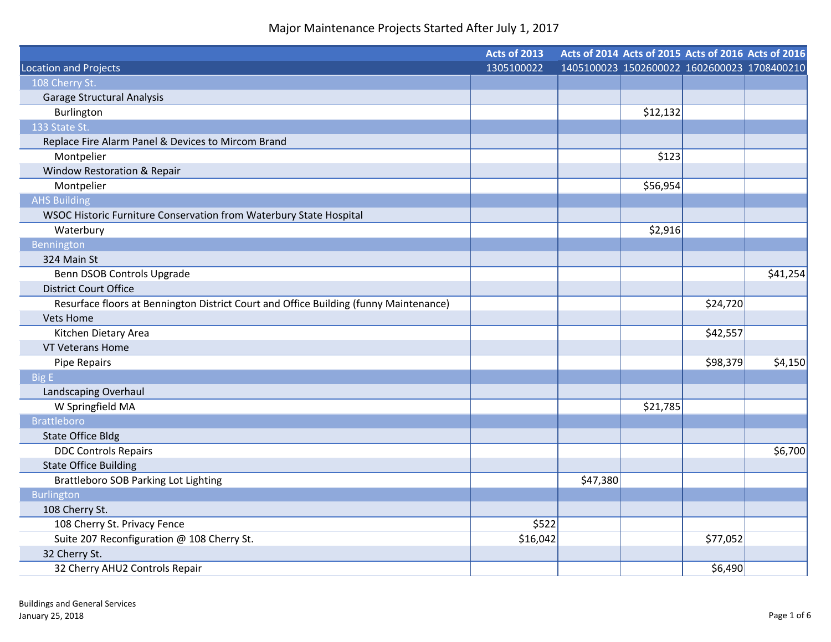|                                                                                       | <b>Acts of 2013</b> |          |          | Acts of 2014 Acts of 2015 Acts of 2016 Acts of 2016 |          |
|---------------------------------------------------------------------------------------|---------------------|----------|----------|-----------------------------------------------------|----------|
| <b>Location and Projects</b>                                                          | 1305100022          |          |          | 1405100023 1502600022 1602600023 1708400210         |          |
| 108 Cherry St.                                                                        |                     |          |          |                                                     |          |
| Garage Structural Analysis                                                            |                     |          |          |                                                     |          |
| Burlington                                                                            |                     |          | \$12,132 |                                                     |          |
| 133 State St.                                                                         |                     |          |          |                                                     |          |
| Replace Fire Alarm Panel & Devices to Mircom Brand                                    |                     |          |          |                                                     |          |
| Montpelier                                                                            |                     |          | \$123    |                                                     |          |
| Window Restoration & Repair                                                           |                     |          |          |                                                     |          |
| Montpelier                                                                            |                     |          | \$56,954 |                                                     |          |
| <b>AHS Building</b>                                                                   |                     |          |          |                                                     |          |
| WSOC Historic Furniture Conservation from Waterbury State Hospital                    |                     |          |          |                                                     |          |
| Waterbury                                                                             |                     |          | \$2,916  |                                                     |          |
| Bennington                                                                            |                     |          |          |                                                     |          |
| 324 Main St                                                                           |                     |          |          |                                                     |          |
| Benn DSOB Controls Upgrade                                                            |                     |          |          |                                                     | \$41,254 |
| <b>District Court Office</b>                                                          |                     |          |          |                                                     |          |
| Resurface floors at Bennington District Court and Office Building (funny Maintenance) |                     |          |          | \$24,720                                            |          |
| <b>Vets Home</b>                                                                      |                     |          |          |                                                     |          |
| Kitchen Dietary Area                                                                  |                     |          |          | \$42,557                                            |          |
| <b>VT Veterans Home</b>                                                               |                     |          |          |                                                     |          |
| Pipe Repairs                                                                          |                     |          |          | \$98,379                                            | \$4,150  |
| <b>Big E</b>                                                                          |                     |          |          |                                                     |          |
| Landscaping Overhaul                                                                  |                     |          |          |                                                     |          |
| W Springfield MA                                                                      |                     |          | \$21,785 |                                                     |          |
| <b>Brattleboro</b>                                                                    |                     |          |          |                                                     |          |
| <b>State Office Bldg</b>                                                              |                     |          |          |                                                     |          |
| <b>DDC Controls Repairs</b>                                                           |                     |          |          |                                                     | \$6,700  |
| <b>State Office Building</b>                                                          |                     |          |          |                                                     |          |
| <b>Brattleboro SOB Parking Lot Lighting</b>                                           |                     | \$47,380 |          |                                                     |          |
| Burlington                                                                            |                     |          |          |                                                     |          |
| 108 Cherry St.                                                                        |                     |          |          |                                                     |          |
| 108 Cherry St. Privacy Fence                                                          | \$522               |          |          |                                                     |          |
| Suite 207 Reconfiguration @ 108 Cherry St.                                            | \$16,042            |          |          | \$77,052                                            |          |
| 32 Cherry St.                                                                         |                     |          |          |                                                     |          |
| 32 Cherry AHU2 Controls Repair                                                        |                     |          |          | \$6,490                                             |          |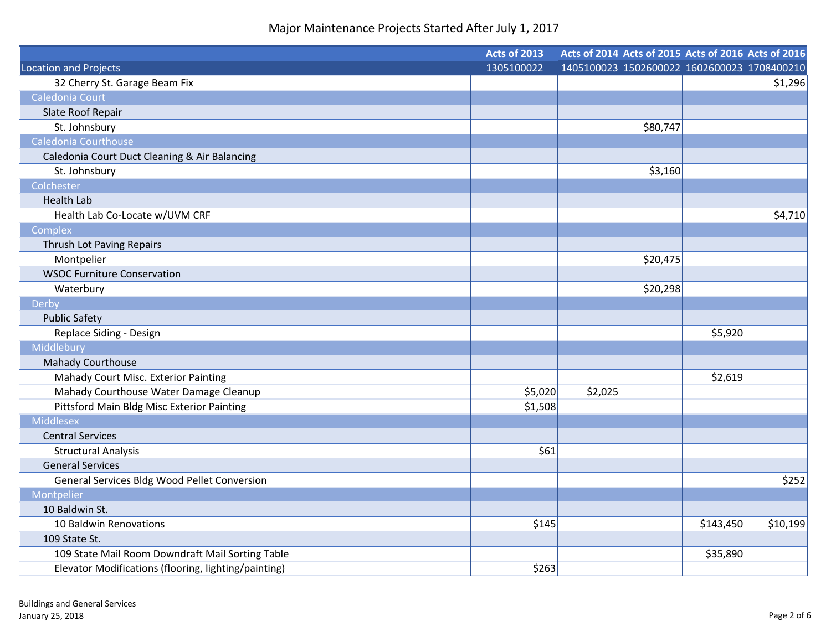|                                                      | <b>Acts of 2013</b> |         |          | Acts of 2014 Acts of 2015 Acts of 2016 Acts of 2016 |          |
|------------------------------------------------------|---------------------|---------|----------|-----------------------------------------------------|----------|
| <b>Location and Projects</b>                         | 1305100022          |         |          | 1405100023 1502600022 1602600023 1708400210         |          |
| 32 Cherry St. Garage Beam Fix                        |                     |         |          |                                                     | \$1,296  |
| Caledonia Court                                      |                     |         |          |                                                     |          |
| Slate Roof Repair                                    |                     |         |          |                                                     |          |
| St. Johnsbury                                        |                     |         | \$80,747 |                                                     |          |
| Caledonia Courthouse                                 |                     |         |          |                                                     |          |
| Caledonia Court Duct Cleaning & Air Balancing        |                     |         |          |                                                     |          |
| St. Johnsbury                                        |                     |         | \$3,160  |                                                     |          |
| Colchester                                           |                     |         |          |                                                     |          |
| <b>Health Lab</b>                                    |                     |         |          |                                                     |          |
| Health Lab Co-Locate w/UVM CRF                       |                     |         |          |                                                     | \$4,710  |
| Complex                                              |                     |         |          |                                                     |          |
| Thrush Lot Paving Repairs                            |                     |         |          |                                                     |          |
| Montpelier                                           |                     |         | \$20,475 |                                                     |          |
| <b>WSOC Furniture Conservation</b>                   |                     |         |          |                                                     |          |
| Waterbury                                            |                     |         | \$20,298 |                                                     |          |
| Derby                                                |                     |         |          |                                                     |          |
| <b>Public Safety</b>                                 |                     |         |          |                                                     |          |
| Replace Siding - Design                              |                     |         |          | \$5,920                                             |          |
| Middlebury                                           |                     |         |          |                                                     |          |
| <b>Mahady Courthouse</b>                             |                     |         |          |                                                     |          |
| Mahady Court Misc. Exterior Painting                 |                     |         |          | \$2,619                                             |          |
| Mahady Courthouse Water Damage Cleanup               | \$5,020             | \$2,025 |          |                                                     |          |
| Pittsford Main Bldg Misc Exterior Painting           | \$1,508             |         |          |                                                     |          |
| Middlesex                                            |                     |         |          |                                                     |          |
| <b>Central Services</b>                              |                     |         |          |                                                     |          |
| <b>Structural Analysis</b>                           | \$61                |         |          |                                                     |          |
| <b>General Services</b>                              |                     |         |          |                                                     |          |
| General Services Bldg Wood Pellet Conversion         |                     |         |          |                                                     | \$252    |
| Montpelier                                           |                     |         |          |                                                     |          |
| 10 Baldwin St.                                       |                     |         |          |                                                     |          |
| 10 Baldwin Renovations                               | \$145               |         |          | \$143,450                                           | \$10,199 |
| 109 State St.                                        |                     |         |          |                                                     |          |
| 109 State Mail Room Downdraft Mail Sorting Table     |                     |         |          | \$35,890                                            |          |
| Elevator Modifications (flooring, lighting/painting) | \$263               |         |          |                                                     |          |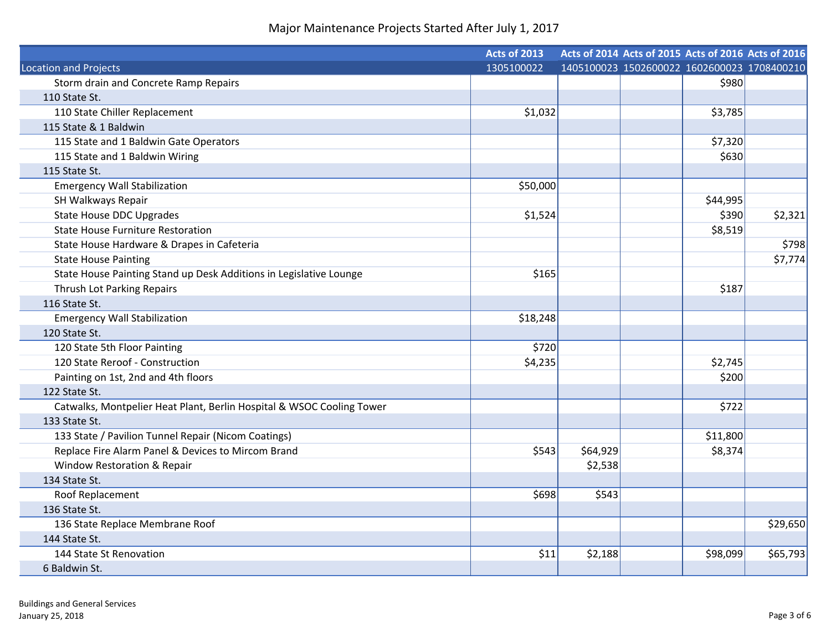|                                                                       | <b>Acts of 2013</b> |          | Acts of 2014 Acts of 2015 Acts of 2016 Acts of 2016 |          |
|-----------------------------------------------------------------------|---------------------|----------|-----------------------------------------------------|----------|
| <b>Location and Projects</b>                                          | 1305100022          |          | 1405100023 1502600022 1602600023 1708400210         |          |
| Storm drain and Concrete Ramp Repairs                                 |                     |          | \$980                                               |          |
| 110 State St.                                                         |                     |          |                                                     |          |
| 110 State Chiller Replacement                                         | \$1,032             |          | \$3,785                                             |          |
| 115 State & 1 Baldwin                                                 |                     |          |                                                     |          |
| 115 State and 1 Baldwin Gate Operators                                |                     |          | \$7,320                                             |          |
| 115 State and 1 Baldwin Wiring                                        |                     |          | \$630                                               |          |
| 115 State St.                                                         |                     |          |                                                     |          |
| <b>Emergency Wall Stabilization</b>                                   | \$50,000            |          |                                                     |          |
| SH Walkways Repair                                                    |                     |          | \$44,995                                            |          |
| <b>State House DDC Upgrades</b>                                       | \$1,524             |          | \$390                                               | \$2,321  |
| <b>State House Furniture Restoration</b>                              |                     |          | \$8,519                                             |          |
| State House Hardware & Drapes in Cafeteria                            |                     |          |                                                     | \$798    |
| <b>State House Painting</b>                                           |                     |          |                                                     | \$7,774  |
| State House Painting Stand up Desk Additions in Legislative Lounge    | \$165               |          |                                                     |          |
| Thrush Lot Parking Repairs                                            |                     |          | \$187                                               |          |
| 116 State St.                                                         |                     |          |                                                     |          |
| <b>Emergency Wall Stabilization</b>                                   | \$18,248            |          |                                                     |          |
| 120 State St.                                                         |                     |          |                                                     |          |
| 120 State 5th Floor Painting                                          | \$720               |          |                                                     |          |
| 120 State Reroof - Construction                                       | \$4,235             |          | \$2,745                                             |          |
| Painting on 1st, 2nd and 4th floors                                   |                     |          | \$200                                               |          |
| 122 State St.                                                         |                     |          |                                                     |          |
| Catwalks, Montpelier Heat Plant, Berlin Hospital & WSOC Cooling Tower |                     |          | \$722                                               |          |
| 133 State St.                                                         |                     |          |                                                     |          |
| 133 State / Pavilion Tunnel Repair (Nicom Coatings)                   |                     |          | \$11,800                                            |          |
| Replace Fire Alarm Panel & Devices to Mircom Brand                    | \$543               | \$64,929 | \$8,374                                             |          |
| Window Restoration & Repair                                           |                     | \$2,538  |                                                     |          |
| 134 State St.                                                         |                     |          |                                                     |          |
| Roof Replacement                                                      | \$698               | \$543    |                                                     |          |
| 136 State St.                                                         |                     |          |                                                     |          |
| 136 State Replace Membrane Roof                                       |                     |          |                                                     | \$29,650 |
| 144 State St.                                                         |                     |          |                                                     |          |
| 144 State St Renovation                                               | \$11                | \$2,188  | \$98,099                                            | \$65,793 |
| 6 Baldwin St.                                                         |                     |          |                                                     |          |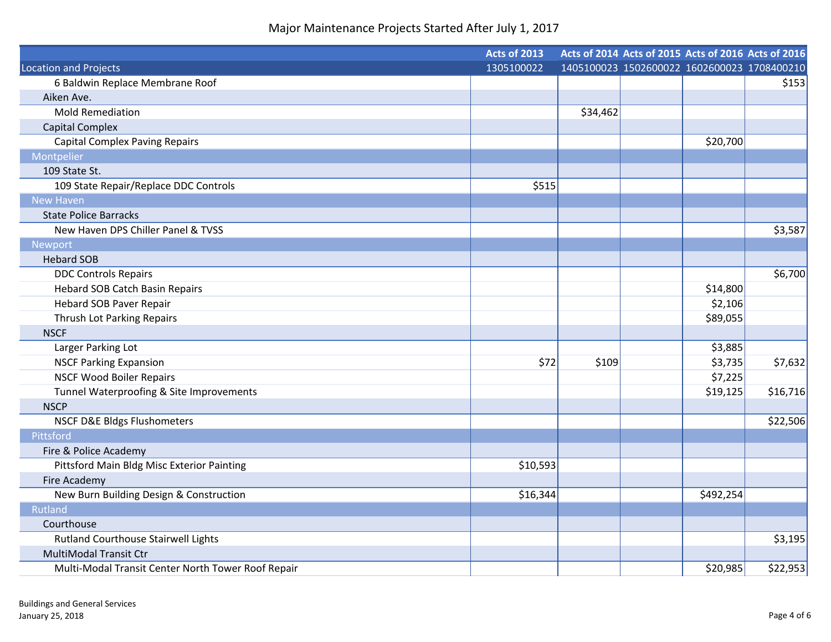|                                                    | Acts of 2013 |          | Acts of 2014 Acts of 2015 Acts of 2016 Acts of 2016 |          |
|----------------------------------------------------|--------------|----------|-----------------------------------------------------|----------|
| <b>Location and Projects</b>                       | 1305100022   |          | 1405100023 1502600022 1602600023 1708400210         |          |
| 6 Baldwin Replace Membrane Roof                    |              |          |                                                     | \$153    |
| Aiken Ave.                                         |              |          |                                                     |          |
| <b>Mold Remediation</b>                            |              | \$34,462 |                                                     |          |
| <b>Capital Complex</b>                             |              |          |                                                     |          |
| <b>Capital Complex Paving Repairs</b>              |              |          | \$20,700                                            |          |
| Montpelier                                         |              |          |                                                     |          |
| 109 State St.                                      |              |          |                                                     |          |
| 109 State Repair/Replace DDC Controls              | \$515        |          |                                                     |          |
| New Haven                                          |              |          |                                                     |          |
| <b>State Police Barracks</b>                       |              |          |                                                     |          |
| New Haven DPS Chiller Panel & TVSS                 |              |          |                                                     | \$3,587  |
| Newport                                            |              |          |                                                     |          |
| <b>Hebard SOB</b>                                  |              |          |                                                     |          |
| <b>DDC Controls Repairs</b>                        |              |          |                                                     | \$6,700  |
| <b>Hebard SOB Catch Basin Repairs</b>              |              |          | \$14,800                                            |          |
| Hebard SOB Paver Repair                            |              |          | \$2,106                                             |          |
| Thrush Lot Parking Repairs                         |              |          | \$89,055                                            |          |
| <b>NSCF</b>                                        |              |          |                                                     |          |
| Larger Parking Lot                                 |              |          | \$3,885                                             |          |
| <b>NSCF Parking Expansion</b>                      | \$72         | \$109    | \$3,735                                             | \$7,632  |
| NSCF Wood Boiler Repairs                           |              |          | \$7,225                                             |          |
| Tunnel Waterproofing & Site Improvements           |              |          | \$19,125                                            | \$16,716 |
| <b>NSCP</b>                                        |              |          |                                                     |          |
| NSCF D&E Bldgs Flushometers                        |              |          |                                                     | \$22,506 |
| Pittsford                                          |              |          |                                                     |          |
| Fire & Police Academy                              |              |          |                                                     |          |
| Pittsford Main Bldg Misc Exterior Painting         | \$10,593     |          |                                                     |          |
| Fire Academy                                       |              |          |                                                     |          |
| New Burn Building Design & Construction            | \$16,344     |          | \$492,254                                           |          |
| Rutland                                            |              |          |                                                     |          |
| Courthouse                                         |              |          |                                                     |          |
| Rutland Courthouse Stairwell Lights                |              |          |                                                     | \$3,195  |
| MultiModal Transit Ctr                             |              |          |                                                     |          |
| Multi-Modal Transit Center North Tower Roof Repair |              |          | \$20,985                                            | \$22,953 |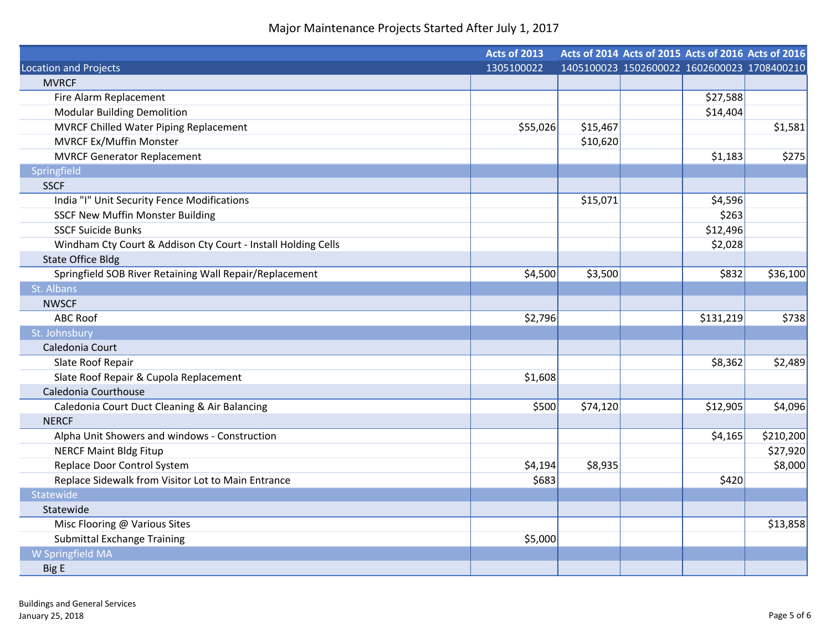|                                                               | <b>Acts of 2013</b> | Acts of 2014 Acts of 2015 Acts of 2016 Acts of 2016 |                                             |           |
|---------------------------------------------------------------|---------------------|-----------------------------------------------------|---------------------------------------------|-----------|
| <b>Location and Projects</b>                                  | 1305100022          |                                                     | 1405100023 1502600022 1602600023 1708400210 |           |
| <b>MVRCF</b>                                                  |                     |                                                     |                                             |           |
| Fire Alarm Replacement                                        |                     |                                                     | \$27,588                                    |           |
| <b>Modular Building Demolition</b>                            |                     |                                                     | \$14,404                                    |           |
| MVRCF Chilled Water Piping Replacement                        | \$55,026            | \$15,467                                            |                                             | \$1,581   |
| <b>MVRCF Ex/Muffin Monster</b>                                |                     | \$10,620                                            |                                             |           |
| <b>MVRCF Generator Replacement</b>                            |                     |                                                     | \$1,183                                     | \$275     |
| Springfield                                                   |                     |                                                     |                                             |           |
| <b>SSCF</b>                                                   |                     |                                                     |                                             |           |
| India "I" Unit Security Fence Modifications                   |                     | \$15,071                                            | \$4,596                                     |           |
| <b>SSCF New Muffin Monster Building</b>                       |                     |                                                     | \$263                                       |           |
| <b>SSCF Suicide Bunks</b>                                     |                     |                                                     | \$12,496                                    |           |
| Windham Cty Court & Addison Cty Court - Install Holding Cells |                     |                                                     | \$2,028                                     |           |
| <b>State Office Bldg</b>                                      |                     |                                                     |                                             |           |
| Springfield SOB River Retaining Wall Repair/Replacement       | \$4,500             | \$3,500                                             | \$832                                       | \$36,100  |
| St. Albans                                                    |                     |                                                     |                                             |           |
| <b>NWSCF</b>                                                  |                     |                                                     |                                             |           |
| <b>ABC Roof</b>                                               | \$2,796             |                                                     | \$131,219                                   | \$738     |
| St. Johnsbury                                                 |                     |                                                     |                                             |           |
| Caledonia Court                                               |                     |                                                     |                                             |           |
| Slate Roof Repair                                             |                     |                                                     | \$8,362                                     | \$2,489   |
| Slate Roof Repair & Cupola Replacement                        | \$1,608             |                                                     |                                             |           |
| Caledonia Courthouse                                          |                     |                                                     |                                             |           |
| Caledonia Court Duct Cleaning & Air Balancing                 | \$500               | \$74,120                                            | \$12,905                                    | \$4,096   |
| <b>NERCF</b>                                                  |                     |                                                     |                                             |           |
| Alpha Unit Showers and windows - Construction                 |                     |                                                     | \$4,165                                     | \$210,200 |
| <b>NERCF Maint Bldg Fitup</b>                                 |                     |                                                     |                                             | \$27,920  |
| Replace Door Control System                                   | \$4,194             | \$8,935                                             |                                             | \$8,000   |
| Replace Sidewalk from Visitor Lot to Main Entrance            | \$683               |                                                     | \$420                                       |           |
| Statewide                                                     |                     |                                                     |                                             |           |
| Statewide                                                     |                     |                                                     |                                             |           |
| Misc Flooring @ Various Sites                                 |                     |                                                     |                                             | \$13,858  |
| <b>Submittal Exchange Training</b>                            | \$5,000             |                                                     |                                             |           |
| W Springfield MA                                              |                     |                                                     |                                             |           |
| <b>Big E</b>                                                  |                     |                                                     |                                             |           |